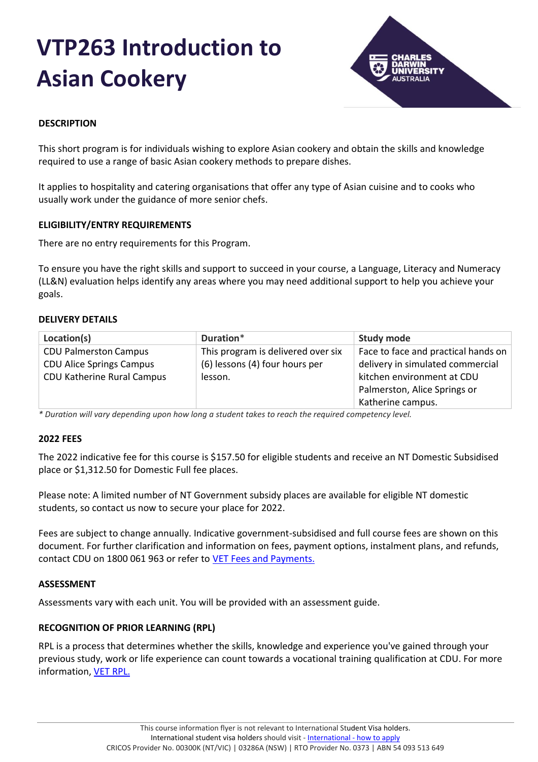# **VTP263 Introduction to Asian Cookery**



## **DESCRIPTION**

This short program is for individuals wishing to explore Asian cookery and obtain the skills and knowledge required to use a range of basic Asian cookery methods to prepare dishes.

It applies to hospitality and catering organisations that offer any type of Asian cuisine and to cooks who usually work under the guidance of more senior chefs.

## **ELIGIBILITY/ENTRY REQUIREMENTS**

There are no entry requirements for this Program.

To ensure you have the right skills and support to succeed in your course, a Language, Literacy and Numeracy (LL&N) evaluation helps identify any areas where you may need additional support to help you achieve your goals.

## **DELIVERY DETAILS**

| Location(s)                     | Duration*                          | <b>Study mode</b>                   |
|---------------------------------|------------------------------------|-------------------------------------|
| <b>CDU Palmerston Campus</b>    | This program is delivered over six | Face to face and practical hands on |
| <b>CDU Alice Springs Campus</b> | (6) lessons (4) four hours per     | delivery in simulated commercial    |
| CDU Katherine Rural Campus      | lesson.                            | kitchen environment at CDU          |
|                                 |                                    | Palmerston, Alice Springs or        |
|                                 |                                    | Katherine campus.                   |

*\* Duration will vary depending upon how long a student takes to reach the required competency level.*

#### **2022 FEES**

The 2022 indicative fee for this course is \$157.50 for eligible students and receive an NT Domestic Subsidised place or \$1,312.50 for Domestic Full fee places.

Please note: A limited number of NT Government subsidy places are available for eligible NT domestic students, so contact us now to secure your place for 2022.

Fees are subject to change annually. Indicative government-subsidised and full course fees are shown on this document. For further clarification and information on fees, payment options, instalment plans, and refunds, contact CDU on 1800 061 963 or refer to [VET Fees and Payments.](https://www.cdu.edu.au/current-students/student-admin/fees-payments)

#### **ASSESSMENT**

Assessments vary with each unit. You will be provided with an assessment guide.

## **RECOGNITION OF PRIOR LEARNING (RPL)**

RPL is a process that determines whether the skills, knowledge and experience you've gained through your previous study, work or life experience can count towards a vocational training qualification at CDU. For more information, [VET RPL.](https://www.cdu.edu.au/study/vocational-education-training/rpl)